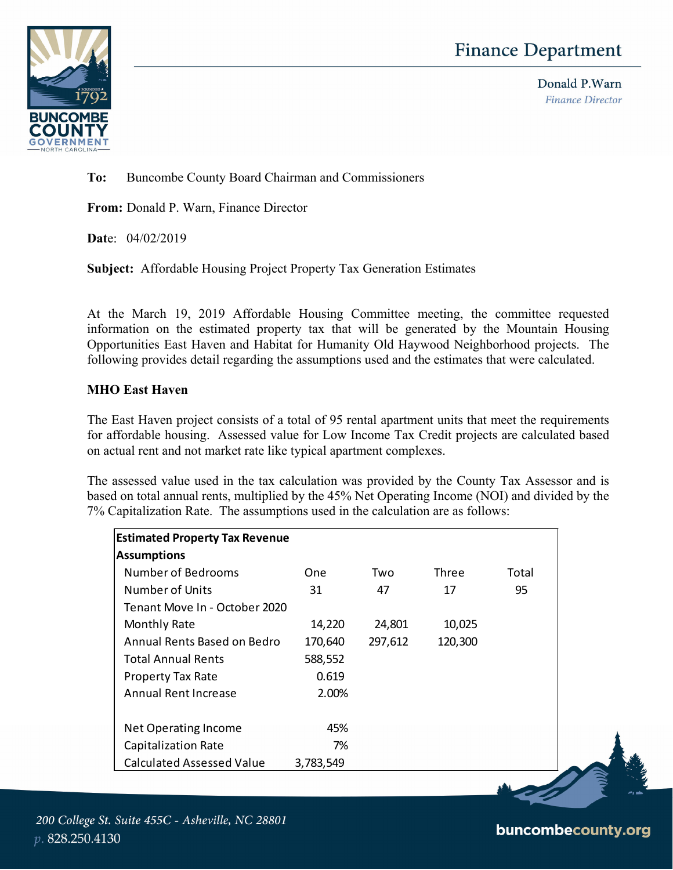## **Finance Department**



Donald P.Warn **Finance Director** 

**To:** Buncombe County Board Chairman and Commissioners

**From:** Donald P. Warn, Finance Director

**Dat**e: 04/02/2019

**Subject:** Affordable Housing Project Property Tax Generation Estimates

At the March 19, 2019 Affordable Housing Committee meeting, the committee requested information on the estimated property tax that will be generated by the Mountain Housing Opportunities East Haven and Habitat for Humanity Old Haywood Neighborhood projects. The following provides detail regarding the assumptions used and the estimates that were calculated.

## **MHO East Haven**

The East Haven project consists of a total of 95 rental apartment units that meet the requirements for affordable housing. Assessed value for Low Income Tax Credit projects are calculated based on actual rent and not market rate like typical apartment complexes.

The assessed value used in the tax calculation was provided by the County Tax Assessor and is based on total annual rents, multiplied by the 45% Net Operating Income (NOI) and divided by the 7% Capitalization Rate. The assumptions used in the calculation are as follows:

| <b>Estimated Property Tax Revenue</b> |           |         |         |       |  |
|---------------------------------------|-----------|---------|---------|-------|--|
| <b>Assumptions</b>                    |           |         |         |       |  |
| Number of Bedrooms                    | One.      | Two     | Three   | Total |  |
| Number of Units                       | 31        | 47      | 17      | 95    |  |
| Tenant Move In - October 2020         |           |         |         |       |  |
| Monthly Rate                          | 14,220    | 24,801  | 10,025  |       |  |
| Annual Rents Based on Bedro           | 170,640   | 297,612 | 120,300 |       |  |
| <b>Total Annual Rents</b>             | 588,552   |         |         |       |  |
| <b>Property Tax Rate</b>              | 0.619     |         |         |       |  |
| <b>Annual Rent Increase</b>           | 2.00%     |         |         |       |  |
|                                       |           |         |         |       |  |
| Net Operating Income                  | 45%       |         |         |       |  |
| Capitalization Rate                   | 7%        |         |         |       |  |
| <b>Calculated Assessed Value</b>      | 3,783,549 |         |         |       |  |

## buncombecounty.org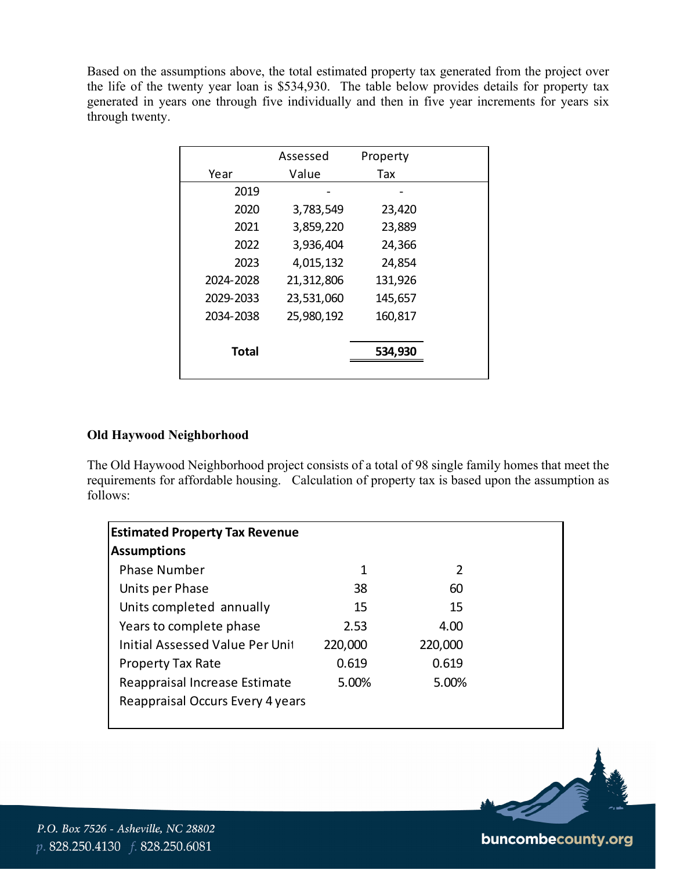Based on the assumptions above, the total estimated property tax generated from the project over the life of the twenty year loan is \$534,930. The table below provides details for property tax generated in years one through five individually and then in five year increments for years six through twenty.

|              | Assessed   | Property |  |
|--------------|------------|----------|--|
| Year         | Value      | Tax      |  |
| 2019         |            |          |  |
| 2020         | 3,783,549  | 23,420   |  |
| 2021         | 3,859,220  | 23,889   |  |
| 2022         | 3,936,404  | 24,366   |  |
| 2023         | 4,015,132  | 24,854   |  |
| 2024-2028    | 21,312,806 | 131,926  |  |
| 2029-2033    | 23,531,060 | 145,657  |  |
| 2034-2038    | 25,980,192 | 160,817  |  |
|              |            |          |  |
| <b>Total</b> |            | 534,930  |  |
|              |            |          |  |

## **Old Haywood Neighborhood**

The Old Haywood Neighborhood project consists of a total of 98 single family homes that meet the requirements for affordable housing. Calculation of property tax is based upon the assumption as follows:

| <b>Estimated Property Tax Revenue</b>  |         |         |
|----------------------------------------|---------|---------|
| <b>Assumptions</b>                     |         |         |
| <b>Phase Number</b>                    | 1       | 2       |
| Units per Phase                        | 38      | 60      |
| Units completed annually               | 15      | 15      |
| Years to complete phase                | 2.53    | 4.00    |
| <b>Initial Assessed Value Per Unit</b> | 220,000 | 220,000 |
| <b>Property Tax Rate</b>               | 0.619   | 0.619   |
| Reappraisal Increase Estimate          | 5.00%   | 5.00%   |
| Reappraisal Occurs Every 4 years       |         |         |



P.O. Box 7526 - Asheville, NC 28802 p. 828.250.4130 f. 828.250.6081

buncombecounty.org